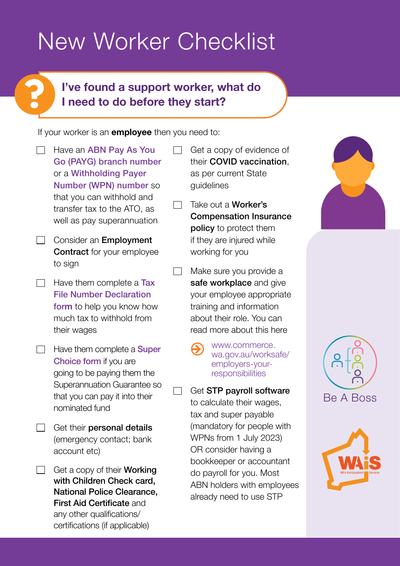# New Worker Checklist

## **I've found a support worker, what do I need to do before they start?**

 $\Box$ 

If your worker is an **employee** then you need to:

 $\Box$  Have an **ABN Pay As You** [Go \(PAYG\) branch number](https://www.ato.gov.au/forms/register-gst-or-payg-withholding-branch/) or a Withholding Payer Number (WPN) [number](https://www.ato.gov.au/Business/Super-for-employers/Paying-super-contributions/Where-to-pay-super-contributions/Withholding-payer-numbers-and-the-Super-guarantee/) so that you can withhold and transfer tax to the ATO, as well as pay superannuation

**?**

- $\Box$  Consider an **Employment** Contract for your employee to sign
- $\Box$  Have them complete a Tax [File Number Declaration](https://www.ato.gov.au/forms/tfn-declaration/)  [for](https://www.ato.gov.au/forms/tfn-declaration/)**m** to help you know how much tax to withhold from their wages
- $\Box$  Have them complete a **Super** [Choice form](https://www.ato.gov.au/Forms/Superannuation-%28super%29-standard-choice-form/) if you are going to be paying them the Superannuation Guarantee so that you can pay it into their nominated fund
- Get their personal details **The Company** (emergency contact; bank account etc)
- $\Box$  Get a copy of their **Working** with Children Check card, National Police Clearance, First Aid Certificate and any other qualifications/ certifications (if applicable)
- Get a copy of evidence of their COVID vaccination, as per current State guidelines
- Take out a Worker's  $\Box$ Compensation Insurance policy to protect them if they are injured while working for you
- $\Box$  Make sure you provide a safe workplace and give your employee appropriate training and information about their role. You can read more about this here
	- [www.commerce.](http://www.commerce.wa.gov.au/worksafe/employers-your-responsibilities) [wa.gov.au/worksafe/](http://www.commerce.wa.gov.au/worksafe/employers-your-responsibilities) [employers-your](http://www.commerce.wa.gov.au/worksafe/employers-your-responsibilities)[responsibilities](http://www.commerce.wa.gov.au/worksafe/employers-your-responsibilities)
	- Get STP payroll software to calculate their wages, tax and super payable (mandatory for people with WPNs from 1 July 2023) OR consider having a bookkeeper or accountant do payroll for you. Most ABN holders with employees already need to use STP





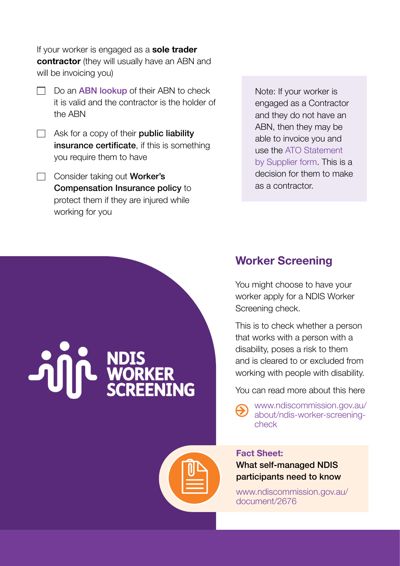If your worker is engaged as a **sole trader contractor** (they will usually have an ABN and will be invoicing you)

- $\Box$  Do an **[ABN lookup](https://abr.business.gov.au/)** of their ABN to check it is valid and the contractor is the holder of the ABN
- $\Box$  Ask for a copy of their **public liability** insurance certificate, if this is something you require them to have
- $\Box$  Consider taking out **Worker's** Compensation Insurance policy to protect them if they are injured while working for you

Note: If your worker is engaged as a Contractor and they do not have an ABN, then they may be able to invoice you and use the [ATO Statement](https://www.ato.gov.au/forms/statement-by-a-supplier-not-quoting-an-abn/)  [by Supplier form.](https://www.ato.gov.au/forms/statement-by-a-supplier-not-quoting-an-abn/) This is a decision for them to make as a contractor.



### **Worker Screening**

You might choose to have your worker apply for a NDIS Worker Screening check.

This is to check whether a person that works with a person with a disability, poses a risk to them and is cleared to or excluded from working with people with disability.

You can read more about this here

[www.ndiscommission.gov.au/](http://www.ndiscommission.gov.au/about/ndis-worker-screening-check) [about/ndis-worker-screening](http://www.ndiscommission.gov.au/about/ndis-worker-screening-check)[check](http://www.ndiscommission.gov.au/about/ndis-worker-screening-check)

#### **Fact Sheet:**

What self-managed NDIS participants need to know

[www.ndiscommission.gov.au/](http://www.ndiscommission.gov.au/document/2676) [document/2676](http://www.ndiscommission.gov.au/document/2676)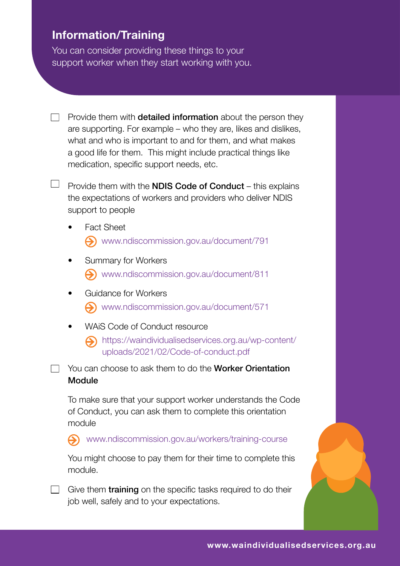### **Information/Training**

 $\Box$ 

You can consider providing these things to your support worker when they start working with you.

- $\Box$  Provide them with **detailed information** about the person they are supporting. For example – who they are, likes and dislikes, what and who is important to and for them, and what makes a good life for them. This might include practical things like medication, specific support needs, etc.
	- Provide them with the NDIS Code of Conduct this explains the expectations of workers and providers who deliver NDIS support to people
		- **Fact Sheet** [www.ndiscommission.gov.au/document/791](http://www.ndiscommission.gov.au/document/791)
		- Summary for Workers [www.ndiscommission.gov.au/document/811](http://www.ndiscommission.gov.au/document/811)
		- Guidance for Workers Www.ndiscommission.gov.au/document/571
		- WAIS Code of Conduct resource
			- [https://waindividualisedservices.org.au/wp-content/](https://waindividualisedservices.org.au/wp-content/uploads/2021/02/Code-of-conduct.pdf) [uploads/2021/02/Code-of-conduct.pdf](https://waindividualisedservices.org.au/wp-content/uploads/2021/02/Code-of-conduct.pdf)

 $\Box$  You can choose to ask them to do the **Worker Orientation** Module

To make sure that your support worker understands the Code of Conduct, you can ask them to complete this orientation module

[www.ndiscommission.gov.au/workers/training-course](http://www.ndiscommission.gov.au/workers/training-course)  $\boldsymbol{\beta}$ 

You might choose to pay them for their time to complete this module.

 $\Box$  Give them **training** on the specific tasks required to do their job well, safely and to your expectations.